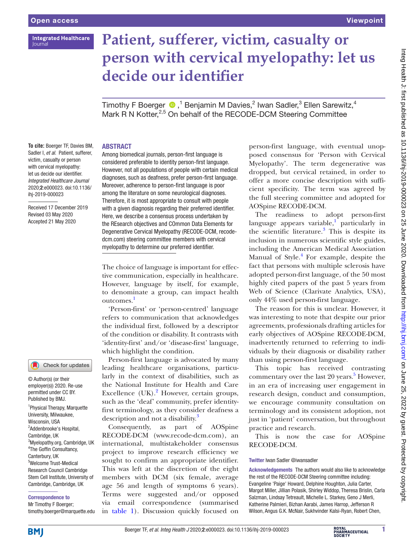**Integrated Healthcare** Journa

# **Patient, sufferer, victim, casualty or person with cervical myelopathy: let us decide our identifier**

Timothy F Boerger  $\bigcirc$  ,<sup>1</sup> Benjamin M Davies,<sup>2</sup> Iwan Sadler,<sup>3</sup> Ellen Sarewitz,<sup>4</sup> Mark R N Kotter,<sup>2,5</sup> On behalf of the RECODE-DCM Steering Committee

## **ABSTRACT**

**To cite:** Boerger TF, Davies BM, Sadler I, *et al*. Patient, sufferer, victim, casualty or person with cervical myelopathy: let us decide our identifier. *Integrated Healthcare Journal* 2020;2:e000023. doi:10.1136/ ihj-2019-000023

Received 17 December 2019 Revised 03 May 2020 Accepted 21 May 2020

# Check for updates

© Author(s) (or their employer(s)) 2020. Re-use permitted under CC BY. Published by BMJ.

1 Physical Therapy, Marquette University, Milwaukee, Wisconsin, USA <sup>2</sup>Addenbrooke's Hospital, Cambridge, UK <sup>3</sup>Myelopathy.org, Cambridge, UK 4 The Goffin Consultancy, Canterbury, UK 5 Welcome Trust-Medical Research Council Cambridge Stem Cell Institute, University of Cambridge, Cambridge, UK

#### Correspondence to Mr Timothy F Boerger;

timothy.boerger@marquette.edu

Among biomedical journals, person-first language is considered preferable to identity person-first language. However, not all populations of people with certain medical diagnoses, such as deafness, prefer person-first language. Moreover, adherence to person-first language is poor among the literature on some neurological diagnoses. Therefore, it is most appropriate to consult with people with a given diagnosis regarding their preferred identifier. Here, we describe a consensus process undertaken by the REsearch objectives and COmmon Data Elements for Degenerative Cervical Myelopathy (RECODE-DCM, [recode](https://urldefense.proofpoint.com/v2/url?u=http-3A__recode-2Ddcm.com&d=DwMCAg&c=S1d2Gs1Y1NQV8Lx35_Qi5FnTH2uYWyh_OhOS94IqYCo&r=nGiGjuFungFCcEvxjoNNA_aONurEcbWeNgivFJ3y3Yw&m=sSBFPOQQqg-AkUuUeqALt7wzsyn2sE6RxKwAWqUeKa0&s=jRkQGWA2JnZxBetwonoaZSfjtPCtElpICJ3gA0a_6y8&e=)[dcm.com\)](https://urldefense.proofpoint.com/v2/url?u=http-3A__recode-2Ddcm.com&d=DwMCAg&c=S1d2Gs1Y1NQV8Lx35_Qi5FnTH2uYWyh_OhOS94IqYCo&r=nGiGjuFungFCcEvxjoNNA_aONurEcbWeNgivFJ3y3Yw&m=sSBFPOQQqg-AkUuUeqALt7wzsyn2sE6RxKwAWqUeKa0&s=jRkQGWA2JnZxBetwonoaZSfjtPCtElpICJ3gA0a_6y8&e=) steering committee members with cervical myelopathy to determine our preferred identifier.

The choice of language is important for effective communication, especially in healthcare. However, language by itself, for example, to denominate a group, can impact health outcomes.<sup>[1](#page-1-0)</sup>

'Person-first' or 'person-centred' language refers to communication that acknowledges the individual first, followed by a descriptor of the condition or disability. It contrasts with 'identity-first' and/or 'disease-first' language, which highlight the condition.

Person-first language is advocated by many leading healthcare organisations, particularly in the context of disabilities, such as the National Institute for Health and Care Excellence  $(UK).<sup>2</sup>$  However, certain groups, such as the 'deaf' community, prefer identityfirst terminology, as they consider deafness a description and not a disability.<sup>3</sup>

Consequently, as part of AOSpine RECODE-DCM ([www.recode-dcm.com\)](www.recode-dcm.com), an international, multistakeholder consensus project to improve research efficiency we sought to confirm an appropriate identifier. This was left at the discretion of the eight members with DCM (six female, average age 56 and length of symptoms 6 years). Terms were suggested and/or opposed via email correspondence (summarised in [table](#page-1-3) 1). Discussion quickly focused on

person-first language, with eventual unopposed consensus for 'Person with Cervical Myelopathy'. The term degenerative was dropped, but cervical retained, in order to offer a more concise description with sufficient specificity. The term was agreed by the full steering committee and adopted for AOSpine RECODE-DCM.

The readiness to adopt person-first language appears variable,<sup>[1](#page-1-0)</sup> particularly in the scientific literature.<sup>[3](#page-1-2)</sup> This is despite its inclusion in numerous scientific style guides, including the American Medical Association Manual of Style.<sup>[4](#page-1-4)</sup> For example, despite the fact that persons with multiple sclerosis have adopted person-first language, of the 50 most highly cited papers of the past 5 years from Web of Science (Clarivate Analytics, USA), only 44% used person-first language.

The reason for this is unclear. However, it was interesting to note that despite our prior agreements, professionals drafting articles for early objectives of AOSpine RECODE-DCM, inadvertently returned to referring to individuals by their diagnosis or disability rather than using person-first language.

This topic has received contrasting commentary over the last 20 years.<sup>5</sup> However, in an era of increasing user engagement in research design, conduct and consumption, we encourage community consultation on terminology and its consistent adoption, not just in 'patient' conversation, but throughout practice and research.

This is now the case for AOSpine RECODE-DCM.

## Twitter Iwan Sadler [@iwansadler](https://twitter.com/iwansadler)

Acknowledgements The authors would also like to acknowledge the rest of the RECODE-DCM Steering committee including: Evangeline 'Paige' Howard, Delphine Houghton, Julia Carter, Margot Miller, Jillian Polasik, Shirley Widdop, Theresa Brislin, Carla Salzman, Lindsay Tetreault, Michelle L. Starkey, Geno J Merli, Katherine Palmieri, Bizhan Aarabi, James Harrop, Jefferson R Wilson, Angus G.K. McNair, Sukhvinder Kalsi-Ryan, Robert Chen,